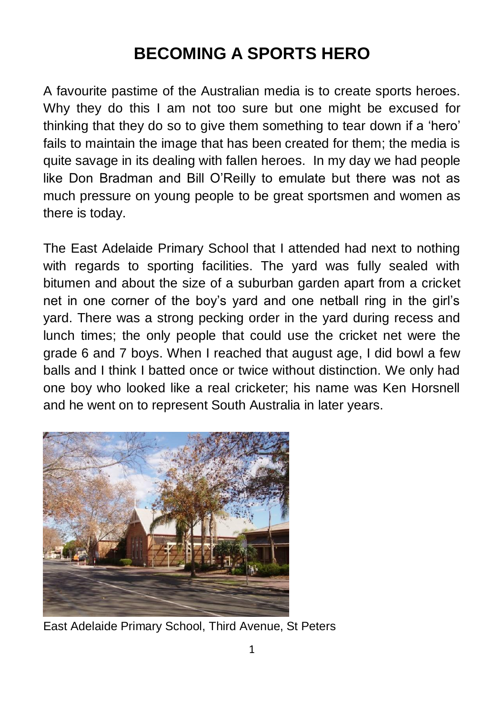## **BECOMING A SPORTS HERO**

A favourite pastime of the Australian media is to create sports heroes. Why they do this I am not too sure but one might be excused for thinking that they do so to give them something to tear down if a 'hero' fails to maintain the image that has been created for them; the media is quite savage in its dealing with fallen heroes. In my day we had people like Don Bradman and Bill O'Reilly to emulate but there was not as much pressure on young people to be great sportsmen and women as there is today.

The East Adelaide Primary School that I attended had next to nothing with regards to sporting facilities. The yard was fully sealed with bitumen and about the size of a suburban garden apart from a cricket net in one corner of the boy's yard and one netball ring in the girl's yard. There was a strong pecking order in the yard during recess and lunch times; the only people that could use the cricket net were the grade 6 and 7 boys. When I reached that august age, I did bowl a few balls and I think I batted once or twice without distinction. We only had one boy who looked like a real cricketer; his name was Ken Horsnell and he went on to represent South Australia in later years.



East Adelaide Primary School, Third Avenue, St Peters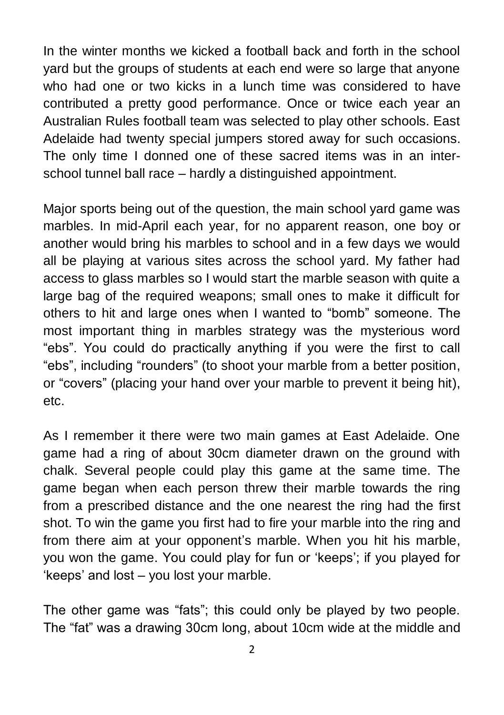In the winter months we kicked a football back and forth in the school yard but the groups of students at each end were so large that anyone who had one or two kicks in a lunch time was considered to have contributed a pretty good performance. Once or twice each year an Australian Rules football team was selected to play other schools. East Adelaide had twenty special jumpers stored away for such occasions. The only time I donned one of these sacred items was in an interschool tunnel ball race – hardly a distinguished appointment.

Major sports being out of the question, the main school yard game was marbles. In mid-April each year, for no apparent reason, one boy or another would bring his marbles to school and in a few days we would all be playing at various sites across the school yard. My father had access to glass marbles so I would start the marble season with quite a large bag of the required weapons; small ones to make it difficult for others to hit and large ones when I wanted to "bomb" someone. The most important thing in marbles strategy was the mysterious word "ebs". You could do practically anything if you were the first to call "ebs", including "rounders" (to shoot your marble from a better position, or "covers" (placing your hand over your marble to prevent it being hit), etc.

As I remember it there were two main games at East Adelaide. One game had a ring of about 30cm diameter drawn on the ground with chalk. Several people could play this game at the same time. The game began when each person threw their marble towards the ring from a prescribed distance and the one nearest the ring had the first shot. To win the game you first had to fire your marble into the ring and from there aim at your opponent's marble. When you hit his marble, you won the game. You could play for fun or 'keeps'; if you played for 'keeps' and lost – you lost your marble.

The other game was "fats"; this could only be played by two people. The "fat" was a drawing 30cm long, about 10cm wide at the middle and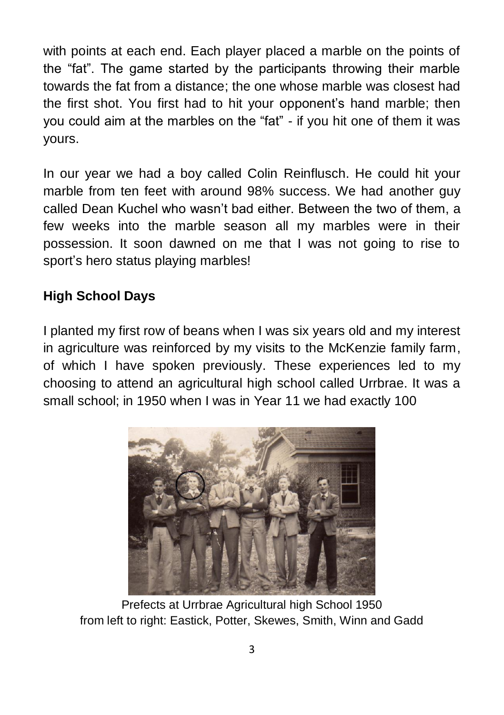with points at each end. Each player placed a marble on the points of the "fat". The game started by the participants throwing their marble towards the fat from a distance; the one whose marble was closest had the first shot. You first had to hit your opponent's hand marble; then you could aim at the marbles on the "fat" - if you hit one of them it was yours.

In our year we had a boy called Colin Reinflusch. He could hit your marble from ten feet with around 98% success. We had another guy called Dean Kuchel who wasn't bad either. Between the two of them, a few weeks into the marble season all my marbles were in their possession. It soon dawned on me that I was not going to rise to sport's hero status playing marbles!

## **High School Days**

I planted my first row of beans when I was six years old and my interest in agriculture was reinforced by my visits to the McKenzie family farm, of which I have spoken previously. These experiences led to my choosing to attend an agricultural high school called Urrbrae. It was a small school; in 1950 when I was in Year 11 we had exactly 100



Prefects at Urrbrae Agricultural high School 1950 from left to right: Eastick, Potter, Skewes, Smith, Winn and Gadd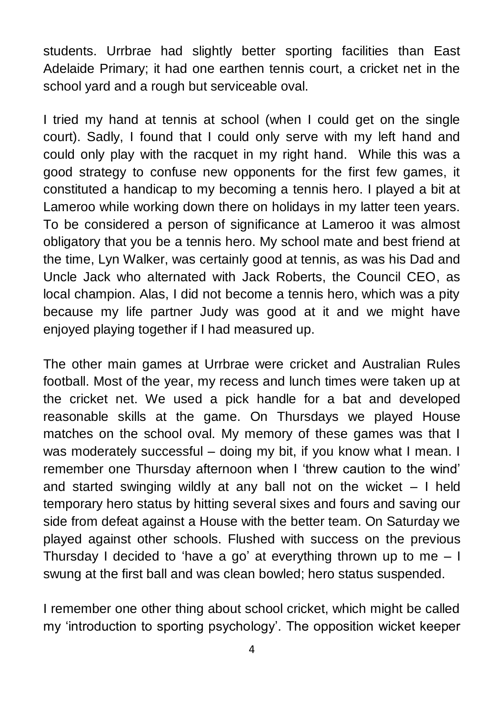students. Urrbrae had slightly better sporting facilities than East Adelaide Primary; it had one earthen tennis court, a cricket net in the school yard and a rough but serviceable oval.

I tried my hand at tennis at school (when I could get on the single court). Sadly, I found that I could only serve with my left hand and could only play with the racquet in my right hand. While this was a good strategy to confuse new opponents for the first few games, it constituted a handicap to my becoming a tennis hero. I played a bit at Lameroo while working down there on holidays in my latter teen years. To be considered a person of significance at Lameroo it was almost obligatory that you be a tennis hero. My school mate and best friend at the time, Lyn Walker, was certainly good at tennis, as was his Dad and Uncle Jack who alternated with Jack Roberts, the Council CEO, as local champion. Alas, I did not become a tennis hero, which was a pity because my life partner Judy was good at it and we might have enjoyed playing together if I had measured up.

The other main games at Urrbrae were cricket and Australian Rules football. Most of the year, my recess and lunch times were taken up at the cricket net. We used a pick handle for a bat and developed reasonable skills at the game. On Thursdays we played House matches on the school oval. My memory of these games was that I was moderately successful – doing my bit, if you know what I mean. I remember one Thursday afternoon when I 'threw caution to the wind' and started swinging wildly at any ball not on the wicket – I held temporary hero status by hitting several sixes and fours and saving our side from defeat against a House with the better team. On Saturday we played against other schools. Flushed with success on the previous Thursday I decided to 'have a go' at everything thrown up to me  $-1$ swung at the first ball and was clean bowled; hero status suspended.

I remember one other thing about school cricket, which might be called my 'introduction to sporting psychology'. The opposition wicket keeper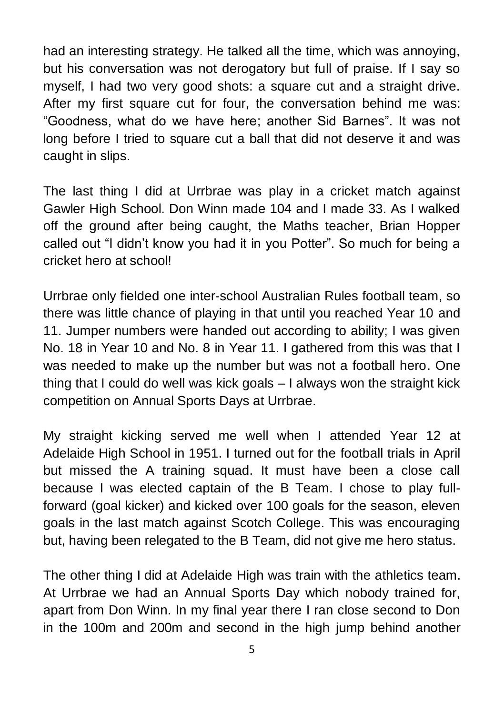had an interesting strategy. He talked all the time, which was annoying, but his conversation was not derogatory but full of praise. If I say so myself, I had two very good shots: a square cut and a straight drive. After my first square cut for four, the conversation behind me was: "Goodness, what do we have here; another Sid Barnes". It was not long before I tried to square cut a ball that did not deserve it and was caught in slips.

The last thing I did at Urrbrae was play in a cricket match against Gawler High School. Don Winn made 104 and I made 33. As I walked off the ground after being caught, the Maths teacher, Brian Hopper called out "I didn't know you had it in you Potter". So much for being a cricket hero at school!

Urrbrae only fielded one inter-school Australian Rules football team, so there was little chance of playing in that until you reached Year 10 and 11. Jumper numbers were handed out according to ability; I was given No. 18 in Year 10 and No. 8 in Year 11. I gathered from this was that I was needed to make up the number but was not a football hero. One thing that I could do well was kick goals – I always won the straight kick competition on Annual Sports Days at Urrbrae.

My straight kicking served me well when I attended Year 12 at Adelaide High School in 1951. I turned out for the football trials in April but missed the A training squad. It must have been a close call because I was elected captain of the B Team. I chose to play fullforward (goal kicker) and kicked over 100 goals for the season, eleven goals in the last match against Scotch College. This was encouraging but, having been relegated to the B Team, did not give me hero status.

The other thing I did at Adelaide High was train with the athletics team. At Urrbrae we had an Annual Sports Day which nobody trained for, apart from Don Winn. In my final year there I ran close second to Don in the 100m and 200m and second in the high jump behind another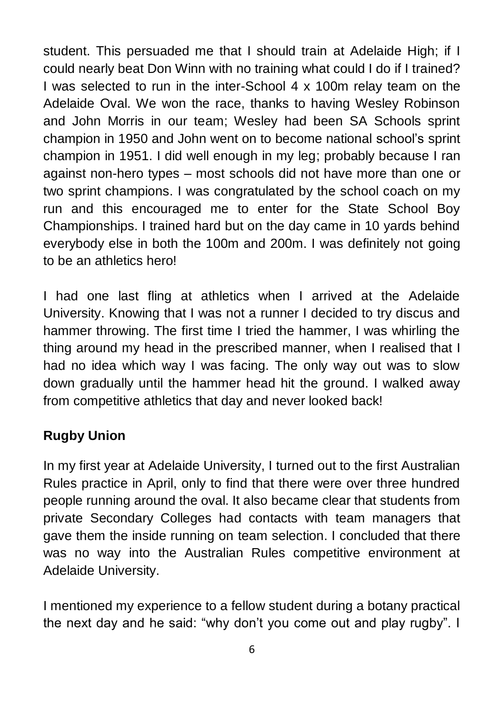student. This persuaded me that I should train at Adelaide High; if I could nearly beat Don Winn with no training what could I do if I trained? I was selected to run in the inter-School 4 x 100m relay team on the Adelaide Oval. We won the race, thanks to having Wesley Robinson and John Morris in our team; Wesley had been SA Schools sprint champion in 1950 and John went on to become national school's sprint champion in 1951. I did well enough in my leg; probably because I ran against non-hero types – most schools did not have more than one or two sprint champions. I was congratulated by the school coach on my run and this encouraged me to enter for the State School Boy Championships. I trained hard but on the day came in 10 yards behind everybody else in both the 100m and 200m. I was definitely not going to be an athletics hero!

I had one last fling at athletics when I arrived at the Adelaide University. Knowing that I was not a runner I decided to try discus and hammer throwing. The first time I tried the hammer, I was whirling the thing around my head in the prescribed manner, when I realised that I had no idea which way I was facing. The only way out was to slow down gradually until the hammer head hit the ground. I walked away from competitive athletics that day and never looked back!

## **Rugby Union**

In my first year at Adelaide University, I turned out to the first Australian Rules practice in April, only to find that there were over three hundred people running around the oval. It also became clear that students from private Secondary Colleges had contacts with team managers that gave them the inside running on team selection. I concluded that there was no way into the Australian Rules competitive environment at Adelaide University.

I mentioned my experience to a fellow student during a botany practical the next day and he said: "why don't you come out and play rugby". I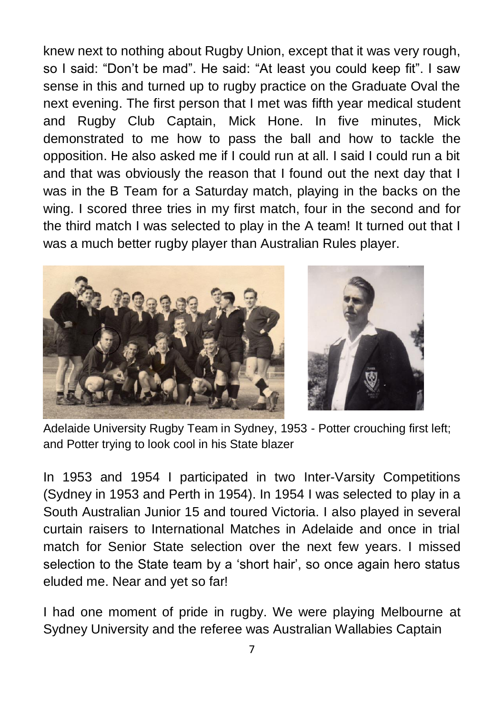knew next to nothing about Rugby Union, except that it was very rough, so I said: "Don't be mad". He said: "At least you could keep fit". I saw sense in this and turned up to rugby practice on the Graduate Oval the next evening. The first person that I met was fifth year medical student and Rugby Club Captain, Mick Hone. In five minutes, Mick demonstrated to me how to pass the ball and how to tackle the opposition. He also asked me if I could run at all. I said I could run a bit and that was obviously the reason that I found out the next day that I was in the B Team for a Saturday match, playing in the backs on the wing. I scored three tries in my first match, four in the second and for the third match I was selected to play in the A team! It turned out that I was a much better rugby player than Australian Rules player.



Adelaide University Rugby Team in Sydney, 1953 - Potter crouching first left; and Potter trying to look cool in his State blazer

In 1953 and 1954 I participated in two Inter-Varsity Competitions (Sydney in 1953 and Perth in 1954). In 1954 I was selected to play in a South Australian Junior 15 and toured Victoria. I also played in several curtain raisers to International Matches in Adelaide and once in trial match for Senior State selection over the next few years. I missed selection to the State team by a 'short hair', so once again hero status eluded me. Near and yet so far!

I had one moment of pride in rugby. We were playing Melbourne at Sydney University and the referee was Australian Wallabies Captain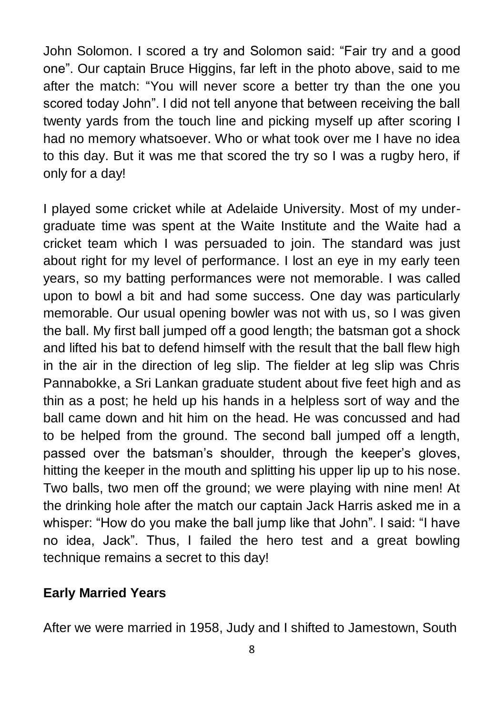John Solomon. I scored a try and Solomon said: "Fair try and a good one". Our captain Bruce Higgins, far left in the photo above, said to me after the match: "You will never score a better try than the one you scored today John". I did not tell anyone that between receiving the ball twenty yards from the touch line and picking myself up after scoring I had no memory whatsoever. Who or what took over me I have no idea to this day. But it was me that scored the try so I was a rugby hero, if only for a day!

I played some cricket while at Adelaide University. Most of my undergraduate time was spent at the Waite Institute and the Waite had a cricket team which I was persuaded to join. The standard was just about right for my level of performance. I lost an eye in my early teen years, so my batting performances were not memorable. I was called upon to bowl a bit and had some success. One day was particularly memorable. Our usual opening bowler was not with us, so I was given the ball. My first ball jumped off a good length; the batsman got a shock and lifted his bat to defend himself with the result that the ball flew high in the air in the direction of leg slip. The fielder at leg slip was Chris Pannabokke, a Sri Lankan graduate student about five feet high and as thin as a post; he held up his hands in a helpless sort of way and the ball came down and hit him on the head. He was concussed and had to be helped from the ground. The second ball jumped off a length, passed over the batsman's shoulder, through the keeper's gloves, hitting the keeper in the mouth and splitting his upper lip up to his nose. Two balls, two men off the ground; we were playing with nine men! At the drinking hole after the match our captain Jack Harris asked me in a whisper: "How do you make the ball jump like that John". I said: "I have no idea, Jack". Thus, I failed the hero test and a great bowling technique remains a secret to this day!

## **Early Married Years**

After we were married in 1958, Judy and I shifted to Jamestown, South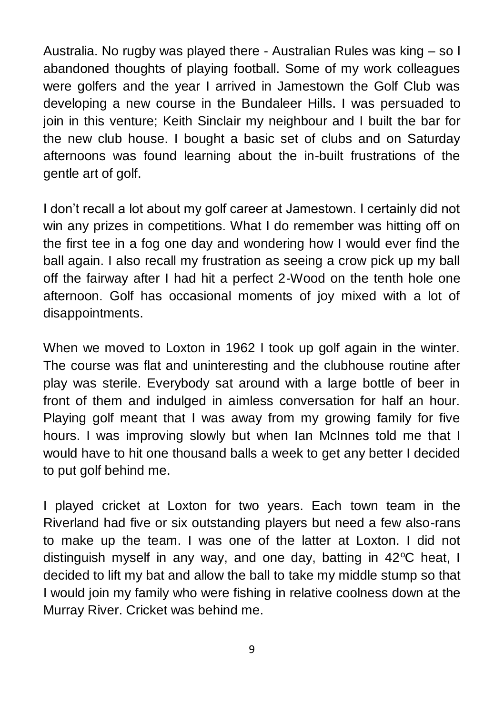Australia. No rugby was played there - Australian Rules was king – so I abandoned thoughts of playing football. Some of my work colleagues were golfers and the year I arrived in Jamestown the Golf Club was developing a new course in the Bundaleer Hills. I was persuaded to join in this venture; Keith Sinclair my neighbour and I built the bar for the new club house. I bought a basic set of clubs and on Saturday afternoons was found learning about the in-built frustrations of the gentle art of golf.

I don't recall a lot about my golf career at Jamestown. I certainly did not win any prizes in competitions. What I do remember was hitting off on the first tee in a fog one day and wondering how I would ever find the ball again. I also recall my frustration as seeing a crow pick up my ball off the fairway after I had hit a perfect 2-Wood on the tenth hole one afternoon. Golf has occasional moments of joy mixed with a lot of disappointments.

When we moved to Loxton in 1962 I took up golf again in the winter. The course was flat and uninteresting and the clubhouse routine after play was sterile. Everybody sat around with a large bottle of beer in front of them and indulged in aimless conversation for half an hour. Playing golf meant that I was away from my growing family for five hours. I was improving slowly but when Ian McInnes told me that I would have to hit one thousand balls a week to get any better I decided to put golf behind me.

I played cricket at Loxton for two years. Each town team in the Riverland had five or six outstanding players but need a few also-rans to make up the team. I was one of the latter at Loxton. I did not distinguish myself in any way, and one day, batting in  $42^{\circ}$ C heat, I decided to lift my bat and allow the ball to take my middle stump so that I would join my family who were fishing in relative coolness down at the Murray River. Cricket was behind me.